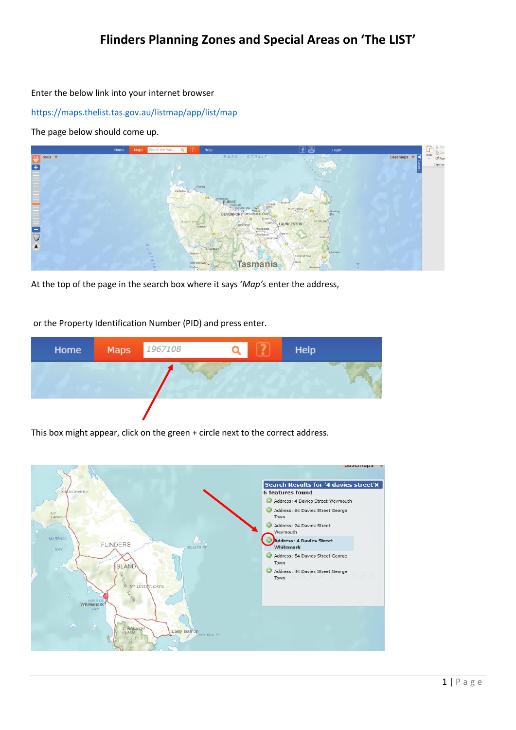## **Flinders Planning Zones and Special Areas on 'The LIST'**

Enter the below link into your internet browser

<https://maps.thelist.tas.gov.au/listmap/app/list/map>

The page below should come up.



At the top of the page in the search box where it says '*Map's* enter the address,

or the Property Identification Number (PID) and press enter.



This box might appear, click on the green + circle next to the correct address.

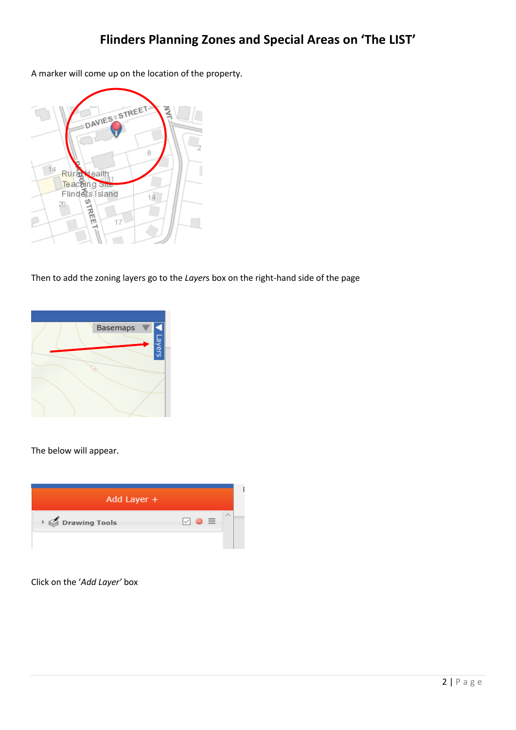A marker will come up on the location of the property.



Then to add the zoning layers go to the *Layer*s box on the right-hand side of the page



The below will appear.



Click on the '*Add Layer'* box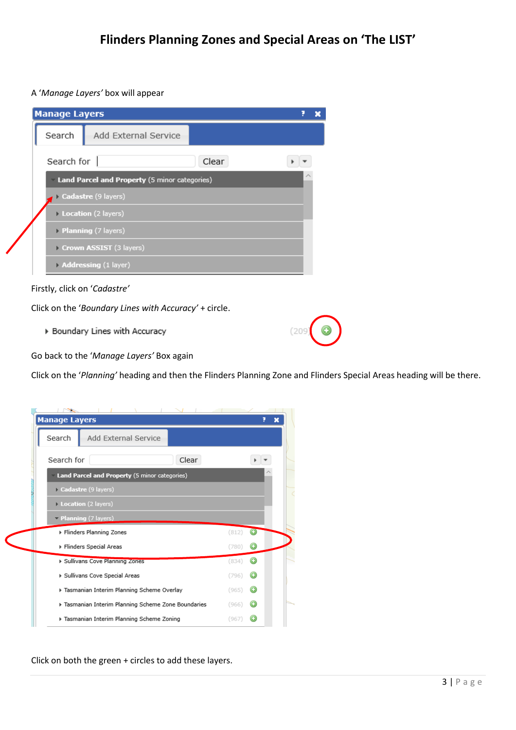A '*Manage Layers'* box will appear

| <b>Manage Layers</b>                          |                         |       |  |  |  |  |  |
|-----------------------------------------------|-------------------------|-------|--|--|--|--|--|
| Search                                        | Add External Service    |       |  |  |  |  |  |
| Search for $\parallel$                        |                         | Clear |  |  |  |  |  |
| Land Parcel and Property (5 minor categories) |                         |       |  |  |  |  |  |
|                                               | Cadastre (9 layers)     |       |  |  |  |  |  |
|                                               | Location (2 layers)     |       |  |  |  |  |  |
|                                               | Planning (7 layers)     |       |  |  |  |  |  |
|                                               | Crown ASSIST (3 layers) |       |  |  |  |  |  |
|                                               | Addressing (1 layer)    |       |  |  |  |  |  |



Click on the '*Boundary Lines with Accuracy'* + circle.

▶ Boundary Lines with Accuracy

 $(209$ 

Go back to the '*Manage Layers'* Box again

Click on the '*Planning'* heading and then the Flinders Planning Zone and Flinders Special Areas heading will be there.

|                                                   | p                               | × |  |  |  |  |
|---------------------------------------------------|---------------------------------|---|--|--|--|--|
| <b>Manage Layers</b>                              |                                 |   |  |  |  |  |
| Search<br>Add External Service                    |                                 |   |  |  |  |  |
| Clear<br>Search for                               |                                 |   |  |  |  |  |
| Land Parcel and Property (5 minor categories)     |                                 |   |  |  |  |  |
| Cadastre (9 layers)                               |                                 |   |  |  |  |  |
| Location (2 layers)                               |                                 |   |  |  |  |  |
| $\blacktriangleright$ Planning (7 layers)         |                                 |   |  |  |  |  |
| ▶ Flinders Planning Zones                         | (812)<br>$\left( \cdot \right)$ |   |  |  |  |  |
| ▶ Flinders Special Areas                          | (780)                           |   |  |  |  |  |
| ▶ Sullivans Cove Planning Zones                   | (834)                           |   |  |  |  |  |
| ▶ Sullivans Cove Special Areas                    | (796)                           |   |  |  |  |  |
| Tasmanian Interim Planning Scheme Overlay         | (965)                           |   |  |  |  |  |
| Tasmanian Interim Planning Scheme Zone Boundaries | (966)                           |   |  |  |  |  |
| ▶ Tasmanian Interim Planning Scheme Zoning        | (967                            |   |  |  |  |  |

Click on both the green + circles to add these layers.